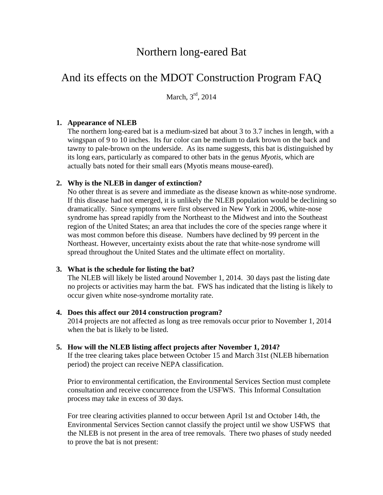## Northern long-eared Bat

# And its effects on the MDOT Construction Program FAQ

March,  $3<sup>rd</sup>$ , 2014

## **1. Appearance of NLEB**

The northern long-eared bat is a medium-sized bat about 3 to 3.7 inches in length, with a wingspan of 9 to 10 inches. Its fur color can be medium to dark brown on the back and tawny to pale-brown on the underside. As its name suggests, this bat is distinguished by its long ears, particularly as compared to other bats in the genus *Myotis*, which are actually bats noted for their small ears (Myotis means mouse-eared).

## **2. Why is the NLEB in danger of extinction?**

No other threat is as severe and immediate as the disease known as white-nose syndrome. If this disease had not emerged, it is unlikely the NLEB population would be declining so dramatically. Since symptoms were first observed in New York in 2006, white-nose syndrome has spread rapidly from the Northeast to the Midwest and into the Southeast region of the United States; an area that includes the core of the species range where it was most common before this disease. Numbers have declined by 99 percent in the Northeast. However, uncertainty exists about the rate that white-nose syndrome will spread throughout the United States and the ultimate effect on mortality.

## **3. What is the schedule for listing the bat?**

The NLEB will likely be listed around November 1, 2014. 30 days past the listing date no projects or activities may harm the bat. FWS has indicated that the listing is likely to occur given white nose-syndrome mortality rate.

## **4. Does this affect our 2014 construction program?**

2014 projects are not affected as long as tree removals occur prior to November 1, 2014 when the bat is likely to be listed.

## **5. How will the NLEB listing affect projects after November 1, 2014?**

If the tree clearing takes place between October 15 and March 31st (NLEB hibernation period) the project can receive NEPA classification.

Prior to environmental certification, the Environmental Services Section must complete consultation and receive concurrence from the USFWS. This Informal Consultation process may take in excess of 30 days.

For tree clearing activities planned to occur between April 1st and October 14th, the Environmental Services Section cannot classify the project until we show USFWS that the NLEB is not present in the area of tree removals. There two phases of study needed to prove the bat is not present: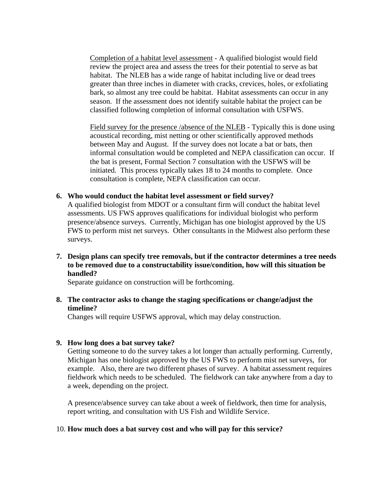Completion of a habitat level assessment - A qualified biologist would field review the project area and assess the trees for their potential to serve as bat habitat. The NLEB has a wide range of habitat including live or dead trees greater than three inches in diameter with cracks, crevices, holes, or exfoliating bark, so almost any tree could be habitat. Habitat assessments can occur in any season. If the assessment does not identify suitable habitat the project can be classified following completion of informal consultation with USFWS.

Field survey for the presence /absence of the NLEB - Typically this is done using acoustical recording, mist netting or other scientifically approved methods between May and August. If the survey does not locate a bat or bats, then informal consultation would be completed and NEPA classification can occur. If the bat is present, Formal Section 7 consultation with the USFWS will be initiated. This process typically takes 18 to 24 months to complete. Once consultation is complete, NEPA classification can occur.

**6. Who would conduct the habitat level assessment or field survey?** 

A qualified biologist from MDOT or a consultant firm will conduct the habitat level assessments. US FWS approves qualifications for individual biologist who perform presence/absence surveys. Currently, Michigan has one biologist approved by the US FWS to perform mist net surveys. Other consultants in the Midwest also perform these surveys.

**7. Design plans can specify tree removals, but if the contractor determines a tree needs to be removed due to a constructability issue/condition, how will this situation be handled?** 

Separate guidance on construction will be forthcoming.

**8. The contractor asks to change the staging specifications or change/adjust the timeline?** 

Changes will require USFWS approval, which may delay construction.

## **9. How long does a bat survey take?**

Getting someone to do the survey takes a lot longer than actually performing. Currently, Michigan has one biologist approved by the US FWS to perform mist net surveys, for example. Also, there are two different phases of survey. A habitat assessment requires fieldwork which needs to be scheduled. The fieldwork can take anywhere from a day to a week, depending on the project.

A presence/absence survey can take about a week of fieldwork, then time for analysis, report writing, and consultation with US Fish and Wildlife Service.

#### 10. **How much does a bat survey cost and who will pay for this service?**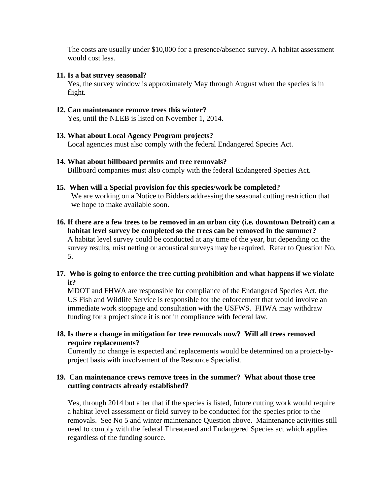The costs are usually under \$10,000 for a presence/absence survey. A habitat assessment would cost less.

## **11. Is a bat survey seasonal?**

Yes, the survey window is approximately May through August when the species is in flight.

**12. Can maintenance remove trees this winter?**  Yes, until the NLEB is listed on November 1, 2014.

## **13. What about Local Agency Program projects?**

Local agencies must also comply with the federal Endangered Species Act.

## **14. What about billboard permits and tree removals?**

Billboard companies must also comply with the federal Endangered Species Act.

## **15. When will a Special provision for this species/work be completed?**

We are working on a Notice to Bidders addressing the seasonal cutting restriction that we hope to make available soon.

**16. If there are a few trees to be removed in an urban city (i.e. downtown Detroit) can a habitat level survey be completed so the trees can be removed in the summer?**  A habitat level survey could be conducted at any time of the year, but depending on the survey results, mist netting or acoustical surveys may be required. Refer to Question No. 5.

## **17. Who is going to enforce the tree cutting prohibition and what happens if we violate it?**

MDOT and FHWA are responsible for compliance of the Endangered Species Act, the US Fish and Wildlife Service is responsible for the enforcement that would involve an immediate work stoppage and consultation with the USFWS. FHWA may withdraw funding for a project since it is not in compliance with federal law.

## **18. Is there a change in mitigation for tree removals now? Will all trees removed require replacements?**

Currently no change is expected and replacements would be determined on a project-byproject basis with involvement of the Resource Specialist.

## **19. Can maintenance crews remove trees in the summer? What about those tree cutting contracts already established?**

Yes, through 2014 but after that if the species is listed, future cutting work would require a habitat level assessment or field survey to be conducted for the species prior to the removals. See No 5 and winter maintenance Question above. Maintenance activities still need to comply with the federal Threatened and Endangered Species act which applies regardless of the funding source.